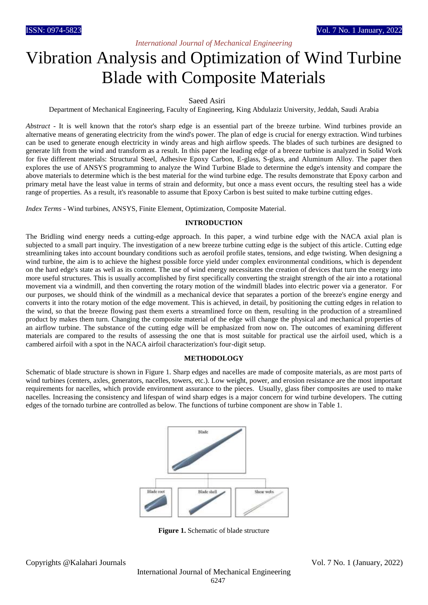# *International Journal of Mechanical Engineering*

# Vibration Analysis and Optimization of Wind Turbine Blade with Composite Materials

#### Saeed Asiri

Department of Mechanical Engineering, Faculty of Engineering, King Abdulaziz University, Jeddah, Saudi Arabia

*Abstract* - It is well known that the rotor's sharp edge is an essential part of the breeze turbine. Wind turbines provide an alternative means of generating electricity from the wind's power. The plan of edge is crucial for energy extraction. Wind turbines can be used to generate enough electricity in windy areas and high airflow speeds. The blades of such turbines are designed to generate lift from the wind and transform as a result. In this paper the leading edge of a breeze turbine is analyzed in Solid Work for five different materials: Structural Steel, Adhesive Epoxy Carbon, E-glass, S-glass, and Aluminum Alloy. The paper then explores the use of ANSYS programming to analyze the Wind Turbine Blade to determine the edge's intensity and compare the above materials to determine which is the best material for the wind turbine edge. The results demonstrate that Epoxy carbon and primary metal have the least value in terms of strain and deformity, but once a mass event occurs, the resulting steel has a wide range of properties. As a result, it's reasonable to assume that Epoxy Carbon is best suited to make turbine cutting edges.

*Index Terms* - Wind turbines, ANSYS, Finite Element, Optimization, Composite Material.

#### **INTRODUCTION**

The Bridling wind energy needs a cutting-edge approach. In this paper, a wind turbine edge with the NACA axial plan is subjected to a small part inquiry. The investigation of a new breeze turbine cutting edge is the subject of this article. Cutting edge streamlining takes into account boundary conditions such as aerofoil profile states, tensions, and edge twisting. When designing a wind turbine, the aim is to achieve the highest possible force yield under complex environmental conditions, which is dependent on the hard edge's state as well as its content. The use of wind energy necessitates the creation of devices that turn the energy into more useful structures. This is usually accomplished by first specifically converting the straight strength of the air into a rotational movement via a windmill, and then converting the rotary motion of the windmill blades into electric power via a generator. For our purposes, we should think of the windmill as a mechanical device that separates a portion of the breeze's engine energy and converts it into the rotary motion of the edge movement. This is achieved, in detail, by positioning the cutting edges in relation to the wind, so that the breeze flowing past them exerts a streamlined force on them, resulting in the production of a streamlined product by makes them turn. Changing the composite material of the edge will change the physical and mechanical properties of an airflow turbine. The substance of the cutting edge will be emphasized from now on. The outcomes of examining different materials are compared to the results of assessing the one that is most suitable for practical use the airfoil used, which is a cambered airfoil with a spot in the NACA airfoil characterization's four-digit setup.

#### **METHODOLOGY**

Schematic of blade structure is shown in Figure 1. Sharp edges and nacelles are made of composite materials, as are most parts of wind turbines (centers, axles, generators, nacelles, towers, etc.). Low weight, power, and erosion resistance are the most important requirements for nacelles, which provide environment assurance to the pieces. Usually, glass fiber composites are used to make nacelles. Increasing the consistency and lifespan of wind sharp edges is a major concern for wind turbine developers. The cutting edges of the tornado turbine are controlled as below. The functions of turbine component are show in Table 1.



**Figure 1.** Schematic of blade structure

Copyrights @Kalahari Journals Vol. 7 No. 1 (January, 2022)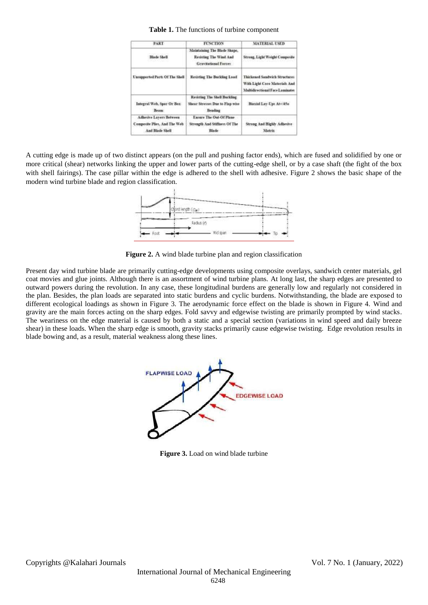#### **Table 1.** The functions of turbine component

| <b>PART</b>                                                                        | <b>FUNCTION</b>                                                                   | <b>MATERIAL USED</b>                                                                                     |
|------------------------------------------------------------------------------------|-----------------------------------------------------------------------------------|----------------------------------------------------------------------------------------------------------|
| Blade Shell                                                                        | Maintaining The Blade Shape,<br>Resisting The Wind And<br>Gravitational Forces    | Strong, Light Weight Composite                                                                           |
| Unsupported Parts Of The Shell                                                     | Resisting The Buckling Load                                                       | Thickened Sandwich Structures<br>With Light Care Materials And<br><b>Multidirectional Face Laminates</b> |
| Integral Web, Spar Or Box<br>Beam.                                                 | Revisting The Shell Buckling<br>Shear Stresses Due to Flap wine<br><b>Bending</b> | Biatisl Lay-Ups At+35o                                                                                   |
| <b>Adhesive Layers Between</b><br>Composite Plies, And The Web-<br>And Blade Shell | Enture The Out-Of Plane<br>Strength And Stiffness Of The<br>Blade                 | Strong And Highly Adhesive<br><b>Matrix</b>                                                              |

A cutting edge is made up of two distinct appears (on the pull and pushing factor ends), which are fused and solidified by one or more critical (shear) networks linking the upper and lower parts of the cutting-edge shell, or by a case shaft (the fight of the box with shell fairings). The case pillar within the edge is adhered to the shell with adhesive. Figure 2 shows the basic shape of the modern wind turbine blade and region classification.



**Figure 2.** A wind blade turbine plan and region classification

Present day wind turbine blade are primarily cutting-edge developments using composite overlays, sandwich center materials, gel coat movies and glue joints. Although there is an assortment of wind turbine plans. At long last, the sharp edges are presented to outward powers during the revolution. In any case, these longitudinal burdens are generally low and regularly not considered in the plan. Besides, the plan loads are separated into static burdens and cyclic burdens. Notwithstanding, the blade are exposed to different ecological loadings as shown in Figure 3. The aerodynamic force effect on the blade is shown in Figure 4. Wind and gravity are the main forces acting on the sharp edges. Fold savvy and edgewise twisting are primarily prompted by wind stacks. The weariness on the edge material is caused by both a static and a special section (variations in wind speed and daily breeze shear) in these loads. When the sharp edge is smooth, gravity stacks primarily cause edgewise twisting. Edge revolution results in blade bowing and, as a result, material weakness along these lines.



**Figure 3.** Load on wind blade turbine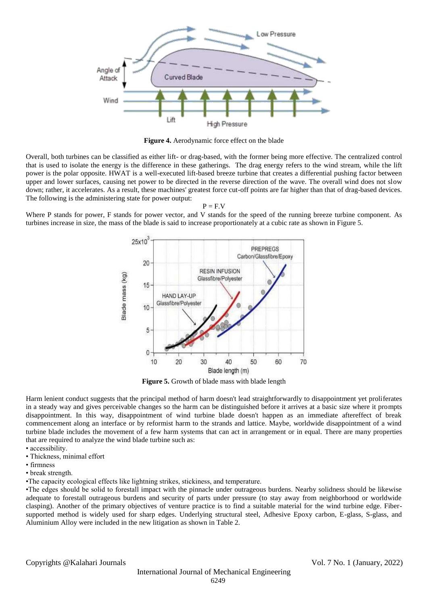

**Figure 4.** Aerodynamic force effect on the blade

Overall, both turbines can be classified as either lift- or drag-based, with the former being more effective. The centralized control that is used to isolate the energy is the difference in these gatherings. The drag energy refers to the wind stream, while the lift power is the polar opposite. HWAT is a well-executed lift-based breeze turbine that creates a differential pushing factor between upper and lower surfaces, causing net power to be directed in the reverse direction of the wave. The overall wind does not slow down; rather, it accelerates. As a result, these machines' greatest force cut-off points are far higher than that of drag-based devices. The following is the administering state for power output:

 $P = F.V$ 

Where P stands for power, F stands for power vector, and V stands for the speed of the running breeze turbine component. As turbines increase in size, the mass of the blade is said to increase proportionately at a cubic rate as shown in Figure 5.



**Figure 5.** Growth of blade mass with blade length

Harm lenient conduct suggests that the principal method of harm doesn't lead straightforwardly to disappointment yet proliferates in a steady way and gives perceivable changes so the harm can be distinguished before it arrives at a basic size where it prompts disappointment. In this way, disappointment of wind turbine blade doesn't happen as an immediate aftereffect of break commencement along an interface or by reformist harm to the strands and lattice. Maybe, worldwide disappointment of a wind turbine blade includes the movement of a few harm systems that can act in arrangement or in equal. There are many properties that are required to analyze the wind blade turbine such as:

- accessibility.
- Thickness, minimal effort
- firmness
- break strength.

•The capacity ecological effects like lightning strikes, stickiness, and temperature.

•The edges should be solid to forestall impact with the pinnacle under outrageous burdens. Nearby solidness should be likewise adequate to forestall outrageous burdens and security of parts under pressure (to stay away from neighborhood or worldwide clasping). Another of the primary objectives of venture practice is to find a suitable material for the wind turbine edge. Fibersupported method is widely used for sharp edges. Underlying structural steel, Adhesive Epoxy carbon, E-glass, S-glass, and Aluminium Alloy were included in the new litigation as shown in Table 2.

Copyrights @Kalahari Journals Vol. 7 No. 1 (January, 2022)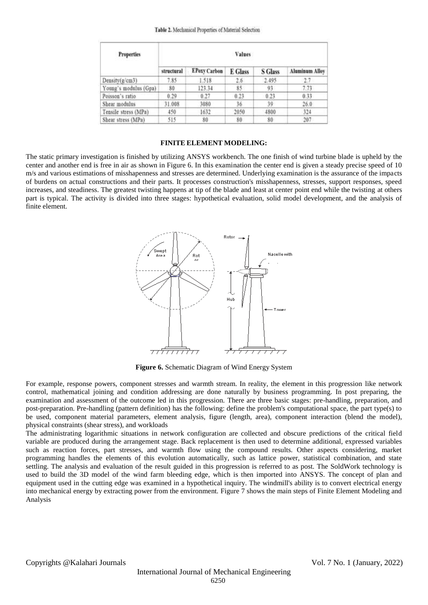#### Table 2. Mechanical Properties of Material Selection

| <b>Properties</b>     | Values     |                     |         |                |                       |  |  |  |  |
|-----------------------|------------|---------------------|---------|----------------|-----------------------|--|--|--|--|
|                       | structural | <b>EPoxy Carbon</b> | E Glass | <b>S</b> Glass | <b>Aluminum Alloy</b> |  |  |  |  |
| Density(g/cm3)        | 7.85       | 1.518               | 2.6     | 2.495          | 27                    |  |  |  |  |
| Young's modulus (Gpa) | 80         | 123.34              | 85      | 93             | 7.73                  |  |  |  |  |
| Poisson's ratio       | 0.29       | 0.27                | 0.23    | 0.23           | 0.33                  |  |  |  |  |
| Shear modulus         | 31.008     | 3080                | 36      | 39.            | 26.0                  |  |  |  |  |
| Tensile stress (MPa)  | 450        | 1632                | 2050    | 4800           | 324                   |  |  |  |  |
| Shear stress (MPa)    | 515        | 80                  | 80      | 80             | 207                   |  |  |  |  |

## **FINITE ELEMENT MODELING:**

The static primary investigation is finished by utilizing ANSYS workbench. The one finish of wind turbine blade is upheld by the center and another end is free in air as shown in Figure 6. In this examination the center end is given a steady precise speed of 10 m/s and various estimations of misshapenness and stresses are determined. Underlying examination is the assurance of the impacts of burdens on actual constructions and their parts. It processes construction's misshapenness, stresses, support responses, speed increases, and steadiness. The greatest twisting happens at tip of the blade and least at center point end while the twisting at others part is typical. The activity is divided into three stages: hypothetical evaluation, solid model development, and the analysis of finite element.

![](_page_3_Figure_4.jpeg)

**Figure 6.** Schematic Diagram of Wind Energy System

For example, response powers, component stresses and warmth stream. In reality, the element in this progression like network control, mathematical joining and condition addressing are done naturally by business programming. In post preparing, the examination and assessment of the outcome led in this progression. There are three basic stages: pre-handling, preparation, and post-preparation. Pre-handling (pattern definition) has the following: define the problem's computational space, the part type(s) to be used, component material parameters, element analysis, figure (length, area), component interaction (blend the model), physical constraints (shear stress), and workloads

The administrating logarithmic situations in network configuration are collected and obscure predictions of the critical field variable are produced during the arrangement stage. Back replacement is then used to determine additional, expressed variables such as reaction forces, part stresses, and warmth flow using the compound results. Other aspects considering, market programming handles the elements of this evolution automatically, such as lattice power, statistical combination, and state settling. The analysis and evaluation of the result guided in this progression is referred to as post. The SoldWork technology is used to build the 3D model of the wind farm bleeding edge, which is then imported into ANSYS. The concept of plan and equipment used in the cutting edge was examined in a hypothetical inquiry. The windmill's ability is to convert electrical energy into mechanical energy by extracting power from the environment. Figure 7 shows the main steps of Finite Element Modeling and Analysis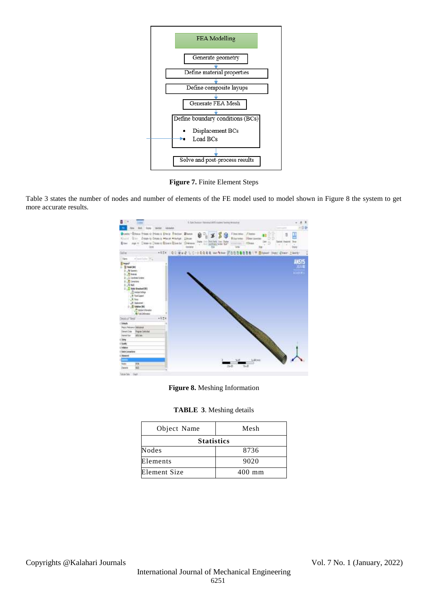![](_page_4_Figure_0.jpeg)

**Figure 7.** Finite Element Steps

Table 3 states the number of nodes and number of elements of the FE model used to model shown in Figure 8 the system to get more accurate results.

![](_page_4_Figure_3.jpeg)

**Figure 8.** Meshing Information

| <b>TABLE 3. Meshing details</b> |  |  |
|---------------------------------|--|--|
|---------------------------------|--|--|

| Object Name       | Mesh     |
|-------------------|----------|
| <b>Statistics</b> |          |
| <b>Nodes</b>      | 8736     |
| Elements          | 9020     |
| Element Size      | $400$ mm |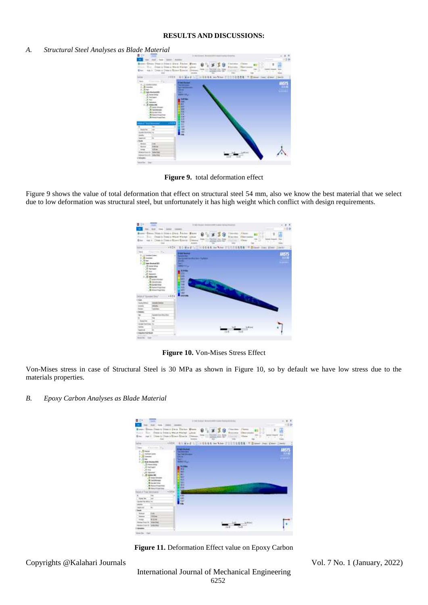## **RESULTS AND DISCUSSIONS:**

#### *A. Structural Steel Analyses as Blade Material*

![](_page_5_Picture_2.jpeg)

**Figure 9.** total deformation effect

Figure 9 shows the value of total deformation that effect on structural steel 54 mm, also we know the best material that we select due to low deformation was structural steel, but unfortunately it has high weight which conflict with design requirements.

![](_page_5_Picture_5.jpeg)

**Figure 10.** Von-Mises Stress Effect

Von-Mises stress in case of Structural Steel is 30 MPa as shown in Figure 10, so by default we have low stress due to the materials properties.

#### *B. Epoxy Carbon Analyses as Blade Material*

![](_page_5_Picture_9.jpeg)

Figure 11. Deformation Effect value on Epoxy Carbon

Copyrights @Kalahari Journals Vol. 7 No. 1 (January, 2022)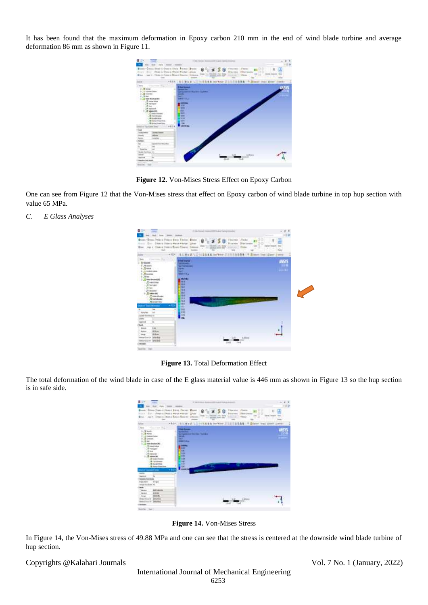It has been found that the maximum deformation in Epoxy carbon 210 mm in the end of wind blade turbine and average deformation 86 mm as shown in Figure 11.

![](_page_6_Picture_1.jpeg)

**Figure 12.** Von-Mises Stress Effect on Epoxy Carbon

One can see from Figure 12 that the Von-Mises stress that effect on Epoxy carbon of wind blade turbine in top hup section with value 65 MPa.

*C. E Glass Analyses* 

![](_page_6_Figure_5.jpeg)

**Figure 13.** Total Deformation Effect

The total deformation of the wind blade in case of the E glass material value is 446 mm as shown in Figure 13 so the hup section is in safe side.

![](_page_6_Picture_8.jpeg)

**Figure 14.** Von-Mises Stress

In Figure 14, the Von-Mises stress of 49.88 MPa and one can see that the stress is centered at the downside wind blade turbine of hup section.

Copyrights @Kalahari Journals Vol. 7 No. 1 (January, 2022)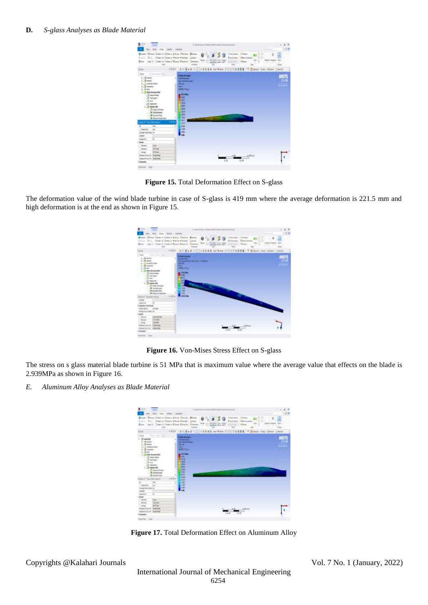| 自由す                                                                       | <b>Single</b>                                                                                                                                                                              | 5 includes below 200 part intuitioners                                                                                                                                      | 1.4.3<br>$-0.0$                                                                                                                                     |
|---------------------------------------------------------------------------|--------------------------------------------------------------------------------------------------------------------------------------------------------------------------------------------|-----------------------------------------------------------------------------------------------------------------------------------------------------------------------------|-----------------------------------------------------------------------------------------------------------------------------------------------------|
|                                                                           | <b>Sint</b>                                                                                                                                                                                | Bower Green Steerin years a Plaza, Elebert Minner<br>5.50<br>The Jimmy Should Wood Worker, What<br><b>In Branch for</b><br>Ene ( op 1 : Steve Chas's Chart Electric Chasses | Tharless Floor<br>ŝ<br>u o<br>Þ<br><b>Elevator Harclester</b><br><b>Bolt-1041</b><br><b>Pray</b><br>٣a<br>$-1$<br>m<br><b>FILIT</b><br><b>First</b> |
| We                                                                        | m                                                                                                                                                                                          | +101 111 West 1-211 001 \$ 16 Year 210 001 \$18 17 \$1997 241 \$100 1989                                                                                                    |                                                                                                                                                     |
|                                                                           | · Institute Way                                                                                                                                                                            | <b><i><u><i><b>Digits Broomst</b></i></u></i></b>                                                                                                                           |                                                                                                                                                     |
| F.Alant<br>1.8 km<br>$6.22$ to have taken<br>1-2 lamber<br>5.RH<br>38,766 | <b>E</b> sou publish<br><b>Chamber</b><br>All Feet lowin<br>2. Salemm<br>D Leise Bill<br><sup>10</sup> NATION<br><b>N</b> Traildivear<br><b>Richmonton</b><br><b>&amp; name hotel that</b> | -1<br><b>Self-Scillmann</b><br>$rac{1}{2}$<br>m.<br>300034.4<br>45.986<br><b>TRI</b><br>m<br>gan<br>m<br>œ<br><b>SIN</b><br>÷<br>m                                          | $1 - 16$<br>m                                                                                                                                       |
| <b>CONTRACTOR</b>                                                         |                                                                                                                                                                                            | m.<br>$\overline{11}$<br>٠                                                                                                                                                  |                                                                                                                                                     |
|                                                                           | Ted                                                                                                                                                                                        | 18                                                                                                                                                                          |                                                                                                                                                     |
| <b>Searcher</b>                                                           | <b>See</b>                                                                                                                                                                                 | <b>SSK</b>                                                                                                                                                                  |                                                                                                                                                     |
| <b>State femining to:</b>                                                 |                                                                                                                                                                                            | 380                                                                                                                                                                         |                                                                                                                                                     |
| $-$                                                                       |                                                                                                                                                                                            | iń.                                                                                                                                                                         |                                                                                                                                                     |
| <b>Instruct</b>                                                           | ×                                                                                                                                                                                          |                                                                                                                                                                             |                                                                                                                                                     |
| -                                                                         |                                                                                                                                                                                            |                                                                                                                                                                             |                                                                                                                                                     |
| <b>Johns</b>                                                              | U.M.                                                                                                                                                                                       |                                                                                                                                                                             |                                                                                                                                                     |
| <b>Shower</b>                                                             | <b>IN it as</b>                                                                                                                                                                            |                                                                                                                                                                             |                                                                                                                                                     |
| <b>Long</b>                                                               | <b>HAM</b>                                                                                                                                                                                 |                                                                                                                                                                             |                                                                                                                                                     |
| <b>Inselazio</b> labeles                                                  |                                                                                                                                                                                            |                                                                                                                                                                             |                                                                                                                                                     |
| ismatise in Solates                                                       |                                                                                                                                                                                            |                                                                                                                                                                             |                                                                                                                                                     |
|                                                                           |                                                                                                                                                                                            | L-B                                                                                                                                                                         |                                                                                                                                                     |

**Figure 15.** Total Deformation Effect on S-glass

The deformation value of the wind blade turbine in case of S-glass is 419 mm where the average deformation is 221.5 mm and high deformation is at the end as shown in Figure 15.

| 目立て、<br>3.48                                                                                                                                                                                                                                                                                                                                                 | 2. 0-100 SUZUA 14-2010 CATALOG & AND THE R ETHIOPIC                                                                                                                                                                                                 |                         |
|--------------------------------------------------------------------------------------------------------------------------------------------------------------------------------------------------------------------------------------------------------------------------------------------------------------------------------------------------------------|-----------------------------------------------------------------------------------------------------------------------------------------------------------------------------------------------------------------------------------------------------|-------------------------|
| Role: Timere                                                                                                                                                                                                                                                                                                                                                 |                                                                                                                                                                                                                                                     | 12.64                   |
| Lease 10 Annual Politics & Chicago & Barrell, Chicago & Barrell<br><b>START</b><br>Blue - nor r Citte o Theo's River Rivers Chevrol<br><b>The Co</b>                                                                                                                                                                                                         | Clinton,<br>$ F$ thanan<br>Nov., deap is blood a wheel wholest lifeon<br>Billia nation<br>Huntimons<br><b>Detchett, Jon Grand</b><br>$-$<br>Hills date for<br><b>PRIVATE</b><br>THE ANGELES GAME PART<br>UN FAM<br>m<br><b>key</b><br><b>Inches</b> | $\sim$<br><b>Septim</b> |
|                                                                                                                                                                                                                                                                                                                                                              | I We did to you did not not been thinking to the first of the content of the person of<br>VADE                                                                                                                                                      |                         |
| <b>Business</b><br><b>ST lease</b><br><b>4 </b> THREE LINE<br>$\frac{1}{\sqrt{2}}$ (statistic<br>2.5 M<br><b>Video Boliv Awards</b><br>.Distance<br>/9 fed tasks<br>US Not<br>$25.2$ married<br>108<br>Submiss (M)<br><b>Technology</b><br><b>SensorVoad Davi</b><br>----<br>market from Sender<br>Indu Editor<br><b>Jumps</b><br><b>DESIGN AND HOME CAR</b> | <b><i><u>Industrial</u></i></b><br>spital and benefits that the first the<br>44,993<br><b>Louis</b><br><b>MINESTER</b><br><b>TARING</b><br><b>The </b><br>l ar u<br>æ<br>٠<br>m<br>15.00<br><br><b>Arrest Make</b>                                  |                         |
| mar.                                                                                                                                                                                                                                                                                                                                                         |                                                                                                                                                                                                                                                     |                         |
| <b>Golden</b><br>411.6166<br><b>STAR</b>                                                                                                                                                                                                                                                                                                                     |                                                                                                                                                                                                                                                     |                         |
| <b>The Charles</b><br><b>Alleged</b><br><b>Longe</b>                                                                                                                                                                                                                                                                                                         |                                                                                                                                                                                                                                                     |                         |
| Limited at<br><b>BOARD FLAG ISL</b>                                                                                                                                                                                                                                                                                                                          |                                                                                                                                                                                                                                                     |                         |
| <b>SALES</b><br><b>Brake &amp; ITS</b>                                                                                                                                                                                                                                                                                                                       |                                                                                                                                                                                                                                                     |                         |
| <b>Hotel</b><br>n a                                                                                                                                                                                                                                                                                                                                          | 15.45                                                                                                                                                                                                                                               |                         |
| Southern State                                                                                                                                                                                                                                                                                                                                               |                                                                                                                                                                                                                                                     |                         |

**Figure 16.** Von-Mises Stress Effect on S-glass

The stress on s glass material blade turbine is 51 MPa that is maximum value where the average value that effects on the blade is 2.939MPa as shown in Figure 16.

*E. Aluminum Alloy Analyses as Blade Material* 

![](_page_7_Picture_8.jpeg)

Figure 17. Total Deformation Effect on Aluminum Alloy

Copyrights @Kalahari Journals Vol. 7 No. 1 (January, 2022)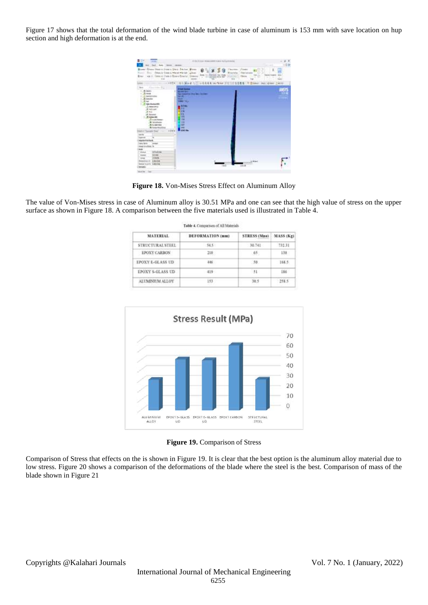Figure 17 shows that the total deformation of the wind blade turbine in case of aluminum is 153 mm with save location on hup section and high deformation is at the end.

| <b>Sed Add</b>                                                                                                                                                                                                                                       | Service - Highlands                                                                                                                         |                                                                    |
|------------------------------------------------------------------------------------------------------------------------------------------------------------------------------------------------------------------------------------------------------|---------------------------------------------------------------------------------------------------------------------------------------------|--------------------------------------------------------------------|
| Great Heat is more a file a Trainer. From<br>children by Scholars in website when they<br>him it (Jues a Boara Bowin)<br><b>WAS TO</b><br><b>STAR</b>                                                                                                | <b>Thomas</b><br>50<br><b>Billion</b><br>and in an<br><b>SCOTA</b><br>Form 111 End Ltd., Det, Butty<br>Smeets                               | <b>Fines</b><br>118.010<br>w<br>o<br>$\overline{\phantom{a}}$<br>÷ |
| $-1 - 1$                                                                                                                                                                                                                                             | <b><i>SALEMAN HESSE</i></b><br>$-1554 - 811.56 + 0.17$<br>٩                                                                                 | <b>Bridger, AutoCater</b><br>1409                                  |
| Concision Rd.                                                                                                                                                                                                                                        |                                                                                                                                             |                                                                    |
| $-99.00001$<br>CLO MARINE<br>-Riveries<br>Light rad<br><b><i>Video Monday of W</i></b><br>.D. because is<br>A street<br>16.91<br>A. losses<br>1 US baldwrith<br>Philadelphia<br><b>Tale in Austine</b><br><b>GUNDER</b><br><b>R</b> Forder Rock Road | ÷<br>.<br>as interior the fee factor<br>سي<br>⊷<br><b>HEE-15.2</b><br>At an<br><br><b>Links</b><br>н<br>ш<br>m<br>नाम<br>TBT<br><b>SHOP</b> |                                                                    |
| of Taxable Star<br>$+12$                                                                                                                                                                                                                             | stat su                                                                                                                                     |                                                                    |
| $-1$                                                                                                                                                                                                                                                 |                                                                                                                                             |                                                                    |
| <b>Installation</b>                                                                                                                                                                                                                                  |                                                                                                                                             |                                                                    |
| <b>Manufacture Service</b>                                                                                                                                                                                                                           |                                                                                                                                             |                                                                    |
| <b>International</b><br><b><i><u>DEALERS</u></i></b>                                                                                                                                                                                                 |                                                                                                                                             |                                                                    |
| being true links in                                                                                                                                                                                                                                  |                                                                                                                                             |                                                                    |
| $\overline{\phantom{a}}$                                                                                                                                                                                                                             |                                                                                                                                             |                                                                    |
| 14 hours<br><b>START</b>                                                                                                                                                                                                                             |                                                                                                                                             |                                                                    |
|                                                                                                                                                                                                                                                      |                                                                                                                                             |                                                                    |
| 201401<br>ENNIS                                                                                                                                                                                                                                      |                                                                                                                                             |                                                                    |
| <br><b><i>STANK</i></b><br>less                                                                                                                                                                                                                      |                                                                                                                                             |                                                                    |
| 1,844.6<br><b>Buick at your city</b>                                                                                                                                                                                                                 |                                                                                                                                             | 1944                                                               |

**Figure 18.** Von-Mises Stress Effect on Aluminum Alloy

The value of Von-Mises stress in case of Aluminum alloy is 30.51 MPa and one can see that the high value of stress on the upper surface as shown in Figure 18. A comparison between the five materials used is illustrated in Table 4.

Table 4. Companion of All Materials

| <b>MATERIAL</b>     | <b>DEFORMATION</b> (HHI) | <b>STRESS (Mos)</b> | MASS (Kg) |  |
|---------------------|--------------------------|---------------------|-----------|--|
| STRUCTURAL STEEL    | 54.5                     | 30.741              | 737.31    |  |
| <b>EPOXY CARBON</b> | 210                      | 65                  | 138       |  |
| EPOXY E-GLASS UD    | 446                      | 50                  | 168.5.    |  |
| EPOXY S-GLASS UD    | 419                      | $-51$               | 186       |  |
| ALUMINEDM ALLOY     | 153                      | 30.5                | 258.5     |  |

![](_page_8_Figure_5.jpeg)

**Figure 19.** Comparison of Stress

Comparison of Stress that effects on the is shown in Figure 19. It is clear that the best option is the aluminum alloy material due to low stress. Figure 20 shows a comparison of the deformations of the blade where the steel is the best. Comparison of mass of the blade shown in Figure 21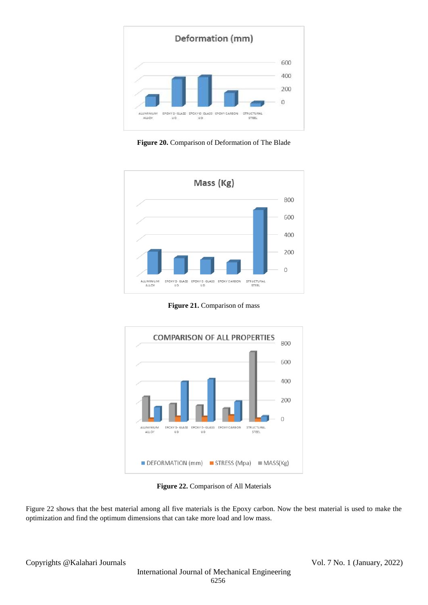![](_page_9_Figure_0.jpeg)

**Figure 20.** Comparison of Deformation of The Blade

![](_page_9_Figure_2.jpeg)

Figure 21. Comparison of mass

![](_page_9_Figure_4.jpeg)

**Figure 22.** Comparison of All Materials

Figure 22 shows that the best material among all five materials is the Epoxy carbon. Now the best material is used to make the optimization and find the optimum dimensions that can take more load and low mass.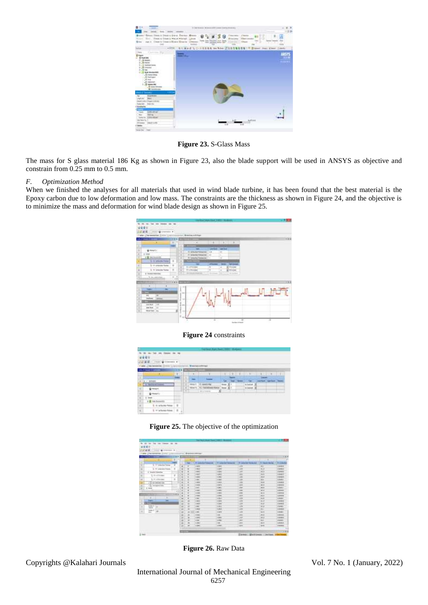![](_page_10_Picture_0.jpeg)

**Figure 23.** S-Glass Mass

The mass for S glass material 186 Kg as shown in Figure 23, also the blade support will be used in ANSYS as objective and constrain from 0.25 mm to 0.5 mm.

#### *F. Optimization Method*

When we finished the analyses for all materials that used in wind blade turbine, it has been found that the best material is the Epoxy carbon due to low deformation and low mass. The constraints are the thickness as shown in Figure 24, and the objective is to minimize the mass and deformation for wind blade design as shown in Figure 25.

![](_page_10_Figure_5.jpeg)

**Figure 24** constraints

|                 | は読中<br><b>Gilleness P</b><br><b>DESTATION</b> |         |             |            | $-0.54$            |                                                      |      |   |     |               |     |  |
|-----------------|-----------------------------------------------|---------|-------------|------------|--------------------|------------------------------------------------------|------|---|-----|---------------|-----|--|
|                 |                                               |         | <b>15 K</b> |            |                    |                                                      |      |   |     |               |     |  |
|                 |                                               |         |             |            |                    | ٠                                                    | 生に山下 |   |     |               |     |  |
|                 |                                               |         |             |            |                    |                                                      |      |   | . . |               |     |  |
| コ               | $4 + 40$                                      |         |             |            |                    |                                                      |      |   |     |               |     |  |
|                 | 130<br>--                                     | ÷       |             |            |                    |                                                      |      |   |     |               |     |  |
|                 |                                               |         |             | <b>STE</b> | mers.              |                                                      |      | × |     | <b>TINTER</b> | . . |  |
| ٠               |                                               |         |             |            | <b>The Company</b> | <b>Microformer</b><br>31<br><b>TERRITA</b><br>$\sim$ |      |   |     |               |     |  |
|                 | <b>SAMP</b>                                   |         |             |            |                    |                                                      |      |   |     |               |     |  |
| $\frac{\pi}{2}$ | <b>18 ha furness</b>                          |         |             |            |                    |                                                      |      |   |     |               |     |  |
| $\alpha$        | 8.95                                          | ×       |             |            |                    |                                                      |      |   |     |               |     |  |
| ÿ               | Il 11 trista data                             | $8 - 2$ | -           |            |                    |                                                      |      |   |     |               |     |  |

![](_page_10_Figure_8.jpeg)

| 1.000 Chicagon<br>---                        | 777                                                                                                                            |                | a) drawing away |                     |                    |                         |                       | $-1.1$           |
|----------------------------------------------|--------------------------------------------------------------------------------------------------------------------------------|----------------|-----------------|---------------------|--------------------|-------------------------|-----------------------|------------------|
|                                              | T a                                                                                                                            |                |                 |                     | ٠                  | ٠                       | -                     |                  |
| --<br>电                                      | ÷<br>-                                                                                                                         |                | -               | <b>H-inking</b>     | Little Automatic   | Little provide form and | <b>Contact Called</b> | <b>Donate</b>    |
| <b>Statistics</b><br>٠                       | ٠<br>и                                                                                                                         | ÷              | ٠               | $+400$              | $-200$             | 1,69                    | $\sim$                | 1,004,000        |
| ÷<br>2 H-LeukenTimes<br>×                    | - 3<br>$\mathbf{z}$                                                                                                            | ٠              | ä               | 140                 | <b>COMPANY</b>     | <b>Tak</b>              | <b>Marine</b>         | Literature       |
| -<br>----<br>E. However, between an          |                                                                                                                                | s              | i               | 196                 | 144                | 749                     | <b>KO</b>             | <b>FRIDAY</b>    |
| $\sim$                                       | 9                                                                                                                              | ŵ              |                 | 146                 | 140                | w                       | m                     | Link !!          |
| L Hullman<br>۰<br>-                          | ×<br>$\frac{1}{2} \left( \frac{1}{2} \right) \left( \frac{1}{2} \right) \left( \frac{1}{2} \right) \left( \frac{1}{2} \right)$ | ٠<br>ä         |                 | œ                   | <b>TAKE</b>        | <b>Sec</b>              | $^{16}$               | 15mmm            |
| To 11 teleproper<br>$\overline{\phantom{a}}$ | ٠                                                                                                                              | ×              |                 | 144<br>--           | <b>COMPANY</b>     | 1,61                    | m.                    | Librario.        |
| ٠<br>/ G talminuter ma<br>٠                  |                                                                                                                                | ٠              |                 | 11,6256             | <b>CARDS</b>       | 1.008                   | <b>WIND</b>           | <b>STANDARD</b>  |
| m<br>13 deepering                            |                                                                                                                                | э.             | ٠               | <b>HOME</b><br>---  | <b>ATMOSFIELD</b>  | <b>Lakes</b><br>---     | <b>WITH</b>           | <b>A GENERAL</b> |
| ×<br>٠<br><b>ALCOHOL</b>                     |                                                                                                                                | ×              | ×               | <b>COMPANY</b><br>_ | come is            | 144<br>.                | <b>MARK</b>           | <b>Address</b>   |
| <b>Service</b><br>$-10$                      | 1.8                                                                                                                            | ٠              | ٠               | <b>COMP</b>         | <b>TORIC</b>       | 14m                     | sti at                | <b>A GREENED</b> |
|                                              | $+4 - 4$                                                                                                                       | ٠              | ٠               | 1994                | <b>CORPORATION</b> | <b>COLOR</b>            | <b>Book</b>           | <b>LIGHTING</b>  |
| 3300                                         |                                                                                                                                | ×              | ٠               | or water<br>--      | $-100$<br>--       | AM H                    | <b>Mark</b>           | LEMMURE          |
| ä                                            |                                                                                                                                | ÷<br>-         | ü               | $-1$                | $-0.001$<br>--     | TAK                     | <b>Tales</b>          | Liker            |
| ۰<br>$-$                                     |                                                                                                                                | m              | ×               | $1 + 1$             | $-200$<br>-        | <b>TAV</b>              | $\sim$                | <b>Linkin</b>    |
| m<br>÷<br>۰                                  |                                                                                                                                | $\rightarrow$  | ۰               | $1 - 4 + 3$         | <b>Call And</b>    | <b>UH</b>               | <b>W</b>              | <b>Listen</b>    |
| w<br>×                                       |                                                                                                                                | s              | x               | $-$                 | GM)<br><b>Like</b> | TIN                     | жa                    | <b>French</b>    |
| -<br>---<br><b>Select</b><br>٠               |                                                                                                                                | 田              | ٠<br>---        | 244                 | --                 | ΩW                      | ×<br>                 | <b>Taxaut</b>    |
| <b>Silver</b>                                |                                                                                                                                | m<br>--        | $-111$          | $-0.000$            | <b>STARK</b>       | 1,010                   | <b>SECTION</b>        | 100401           |
|                                              |                                                                                                                                | ×              | ٠               | <b>TOTAL</b>        | <b>THE</b>         | 1981<br>. .             | <b>ALC US</b>         | <b>LOCAL</b>     |
|                                              |                                                                                                                                | m.             | ×               | <b>GRANT</b>        | <b>STARTED</b>     | <b>Lair</b><br>. .      | <b>Johnson</b><br>-   | <b>LOCALITY</b>  |
|                                              |                                                                                                                                | 进工             | ٠               | 1.146               | 1446               | <b>LALL</b>             | <b>SHO</b>            | <b>HARRY</b>     |
|                                              |                                                                                                                                | и              | $\sim$          | <b>HAM</b>          | 148.<br>__         | 4,841<br>--             | <b>SECTION</b>        | 1,08,09.00       |
|                                              |                                                                                                                                | $\mathbb{R}^2$ | $\sim$          | <b>DAME</b>         | <b>COMPANY</b>     | <b>AMM</b>              | <b>Booth</b>          | LONARD           |

**Figure 26.** Raw Data

Copyrights @Kalahari Journals Vol. 7 No. 1 (January, 2022)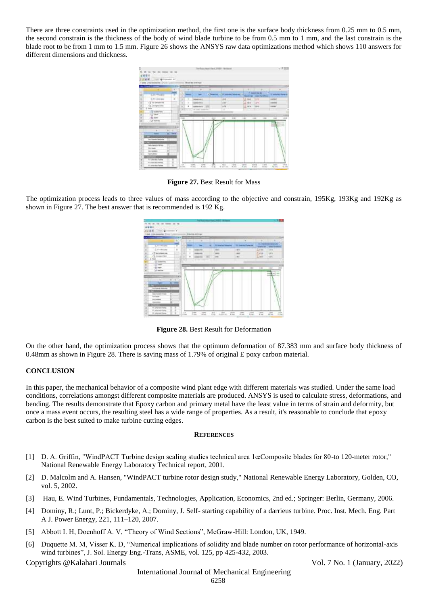There are three constraints used in the optimization method, the first one is the surface body thickness from 0.25 mm to 0.5 mm, the second constrain is the thickness of the body of wind blade turbine to be from 0.5 mm to 1 mm, and the last constrain is the blade root to be from 1 mm to 1.5 mm. Figure 26 shows the ANSYS raw data optimizations method which shows 110 answers for different dimensions and thickness.

![](_page_11_Figure_1.jpeg)

**Figure 27.** Best Result for Mass

The optimization process leads to three values of mass according to the objective and constrain, 195Kg, 193Kg and 192Kg as shown in Figure 27. The best answer that is recommended is 192 Kg.

![](_page_11_Figure_4.jpeg)

**Figure 28.** Best Result for Deformation

On the other hand, the optimization process shows that the optimum deformation of 87.383 mm and surface body thickness of 0.48mm as shown in Figure 28. There is saving mass of 1.79% of original E poxy carbon material.

## **CONCLUSION**

In this paper, the mechanical behavior of a composite wind plant edge with different materials was studied. Under the same load conditions, correlations amongst different composite materials are produced. ANSYS is used to calculate stress, deformations, and bending. The results demonstrate that Epoxy carbon and primary metal have the least value in terms of strain and deformity, but once a mass event occurs, the resulting steel has a wide range of properties. As a result, it's reasonable to conclude that epoxy carbon is the best suited to make turbine cutting edges.

#### **REFERENCES**

- [1] D. A. Griffin, "WindPACT Turbine design scaling studies technical area 1œComposite blades for 80-to 120-meter rotor," National Renewable Energy Laboratory Technical report, 2001.
- [2] D. Malcolm and A. Hansen, "WindPACT turbine rotor design study," National Renewable Energy Laboratory, Golden, CO, vol. 5, 2002.
- [3] Hau, E. Wind Turbines, Fundamentals, Technologies, Application, Economics, 2nd ed.; Springer: Berlin, Germany, 2006.
- [4] Dominy, R.; Lunt, P.; Bickerdyke, A.; Dominy, J. Self- starting capability of a darrieus turbine. Proc. Inst. Mech. Eng. Part A J. Power Energy, 221, 111–120, 2007.
- [5] Abbott I. H, Doenhoff A. V, "Theory of Wind Sections", McGraw-Hill: London, UK, 1949.
- [6] Duquette M. M, Visser K. D, "Numerical implications of solidity and blade number on rotor performance of horizontal-axis wind turbines", J. Sol. Energy Eng.-Trans, ASME, vol. 125, pp 425-432, 2003.

Copyrights @Kalahari Journals Vol. 7 No. 1 (January, 2022)